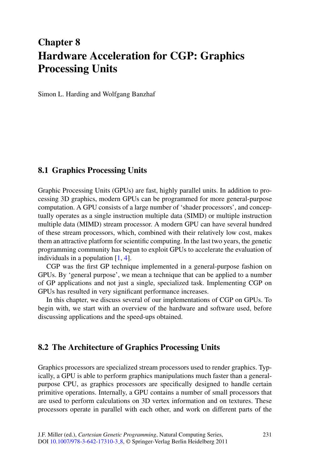# **Chapter 8 Hardware Acceleration for CGP: Graphics Processing Units**

Simon L. Harding and Wolfgang Banzhaf

# **8.1 Graphics Processing Units**

Graphic Processing Units (GPUs) are fast, highly parallel units. In addition to processing 3D graphics, modern GPUs can be programmed for more general-purpose computation. A GPU consists of a large number of 'shader processors', and conceptually operates as a single instruction multiple data (SIMD) or multiple instruction multiple data (MIMD) stream processor. A modern GPU can have several hundred of these stream processors, which, combined with their relatively low cost, makes them an attractive platform for scientific computing. In the last two years, the genetic programming community has begun to exploit GPUs to accelerate the evaluation of individuals in a population  $[1, 4]$  $[1, 4]$  $[1, 4]$ .

CGP was the first GP technique implemented in a general-purpose fashion on GPUs. By 'general purpose', we mean a technique that can be applied to a number of GP applications and not just a single, specialized task. Implementing CGP on GPUs has resulted in very significant performance increases.

In this chapter, we discuss several of our implementations of CGP on GPUs. To begin with, we start with an overview of the hardware and software used, before discussing applications and the speed-ups obtained.

## **8.2 The Architecture of Graphics Processing Units**

Graphics processors are specialized stream processors used to render graphics. Typically, a GPU is able to perform graphics manipulations much faster than a generalpurpose CPU, as graphics processors are specifically designed to handle certain primitive operations. Internally, a GPU contains a number of small processors that are used to perform calculations on 3D vertex information and on textures. These processors operate in parallel with each other, and work on different parts of the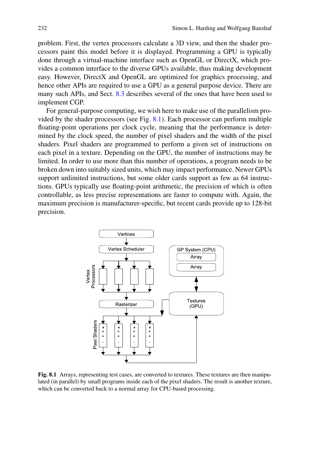problem. First, the vertex processors calculate a 3D view, and then the shader processors paint this model before it is displayed. Programming a GPU is typically done through a virtual-machine interface such as OpenGL or DirectX, which provides a common interface to the diverse GPUs available, thus making development easy. However, DirectX and OpenGL are optimized for graphics processing, and hence other APIs are required to use a GPU as a general purpose device. There are many such APIs, and Sect. [8.3](#page-2-0) describes several of the ones that have been used to implement CGP.

For general-purpose computing, we wish here to make use of the parallelism provided by the shader processors (see Fig. [8.1\)](#page-1-0). Each processor can perform multiple floating-point operations per clock cycle, meaning that the performance is determined by the clock speed, the number of pixel shaders and the width of the pixel shaders. Pixel shaders are programmed to perform a given set of instructions on each pixel in a texture. Depending on the GPU, the number of instructions may be limited. In order to use more than this number of operations, a program needs to be broken down into suitably sized units, which may impact performance. Newer GPUs support unlimited instructions, but some older cards support as few as 64 instructions. GPUs typically use floating-point arithmetic, the precision of which is often controllable, as less precise representations are faster to compute with. Again, the maximum precision is manufacturer-specific, but recent cards provide up to 128-bit precision.



<span id="page-1-0"></span>**Fig. 8.1** Arrays, representing test cases, are converted to textures. These textures are then manipulated (in parallel) by small programs inside each of the pixel shaders. The result is another texture, which can be converted back to a normal array for CPU-based processing.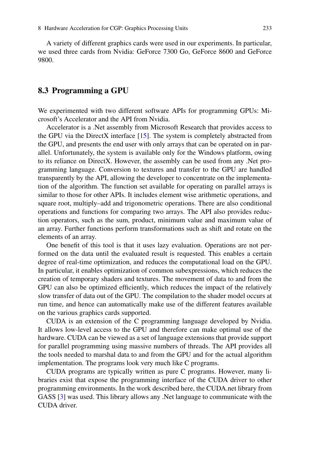A variety of different graphics cards were used in our experiments. In particular, we used three cards from Nvidia: GeForce 7300 Go, GeForce 8600 and GeForce 9800.

### <span id="page-2-0"></span>**8.3 Programming a GPU**

We experimented with two different software APIs for programming GPUs: Microsoft's Accelerator and the API from Nvidia.

Accelerator is a .Net assembly from Microsoft Research that provides access to the GPU via the DirectX interface [\[15\]](#page-22-2). The system is completely abstracted from the GPU, and presents the end user with only arrays that can be operated on in parallel. Unfortunately, the system is available only for the Windows platform, owing to its reliance on DirectX. However, the assembly can be used from any .Net programming language. Conversion to textures and transfer to the GPU are handled transparently by the API, allowing the developer to concentrate on the implementation of the algorithm. The function set available for operating on parallel arrays is similar to those for other APIs. It includes element wise arithmetic operations, and square root, multiply–add and trigonometric operations. There are also conditional operations and functions for comparing two arrays. The API also provides reduction operators, such as the sum, product, minimum value and maximum value of an array. Further functions perform transformations such as shift and rotate on the elements of an array.

One benefit of this tool is that it uses lazy evaluation. Operations are not performed on the data until the evaluated result is requested. This enables a certain degree of real-time optimization, and reduces the computational load on the GPU. In particular, it enables optimization of common subexpressions, which reduces the creation of temporary shaders and textures. The movement of data to and from the GPU can also be optimized efficiently, which reduces the impact of the relatively slow transfer of data out of the GPU. The compilation to the shader model occurs at run time, and hence can automatically make use of the different features available on the various graphics cards supported.

CUDA is an extension of the C programming language developed by Nvidia. It allows low-level access to the GPU and therefore can make optimal use of the hardware. CUDA can be viewed as a set of language extensions that provide support for parallel programming using massive numbers of threads. The API provides all the tools needed to marshal data to and from the GPU and for the actual algorithm implementation. The programs look very much like C programs.

CUDA programs are typically written as pure C programs. However, many libraries exist that expose the programming interface of the CUDA driver to other programming environments. In the work described here, the CUDA.net library from GASS [\[3\]](#page-22-3) was used. This library allows any .Net language to communicate with the CUDA driver.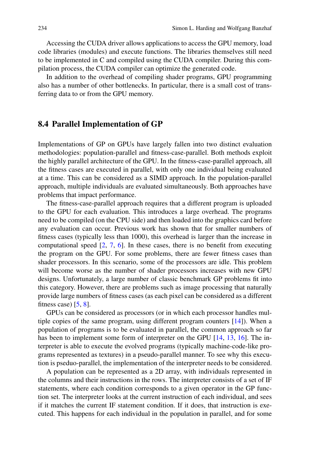Accessing the CUDA driver allows applications to access the GPU memory, load code libraries (modules) and execute functions. The libraries themselves still need to be implemented in C and compiled using the CUDA compiler. During this compilation process, the CUDA compiler can optimize the generated code.

In addition to the overhead of compiling shader programs, GPU programming also has a number of other bottlenecks. In particular, there is a small cost of transferring data to or from the GPU memory.

#### **8.4 Parallel Implementation of GP**

Implementations of GP on GPUs have largely fallen into two distinct evaluation methodologies: population-parallel and fitness-case-parallel. Both methods exploit the highly parallel architecture of the GPU. In the fitness-case-parallel approach, all the fitness cases are executed in parallel, with only one individual being evaluated at a time. This can be considered as a SIMD approach. In the population-parallel approach, multiple individuals are evaluated simultaneously. Both approaches have problems that impact performance.

The fitness-case-parallel approach requires that a different program is uploaded to the GPU for each evaluation. This introduces a large overhead. The programs need to be compiled (on the CPU side) and then loaded into the graphics card before any evaluation can occur. Previous work has shown that for smaller numbers of fitness cases (typically less than 1000), this overhead is larger than the increase in computational speed  $[2, 7, 6]$  $[2, 7, 6]$  $[2, 7, 6]$  $[2, 7, 6]$  $[2, 7, 6]$ . In these cases, there is no benefit from executing the program on the GPU. For some problems, there are fewer fitness cases than shader processors. In this scenario, some of the processors are idle. This problem will become worse as the number of shader processors increases with new GPU designs. Unfortunately, a large number of classic benchmark GP problems fit into this category. However, there are problems such as image processing that naturally provide large numbers of fitness cases (as each pixel can be considered as a different fitness case)  $[5, 8]$  $[5, 8]$  $[5, 8]$ .

GPUs can be considered as processors (or in which each processor handles multiple copies of the same program, using different program counters [\[14\]](#page-22-9)). When a population of programs is to be evaluated in parallel, the common approach so far has been to implement some form of interpreter on the GPU [\[14,](#page-22-9) [13,](#page-22-10) [16\]](#page-22-11). The interpreter is able to execute the evolved programs (typically machine-code-like programs represented as textures) in a pseudo-parallel manner. To see why this execution is pseduo-parallel, the implementation of the interpreter needs to be considered.

A population can be represented as a 2D array, with individuals represented in the columns and their instructions in the rows. The interpreter consists of a set of IF statements, where each condition corresponds to a given operator in the GP function set. The interpreter looks at the current instruction of each individual, and sees if it matches the current IF statement condition. If it does, that instruction is executed. This happens for each individual in the population in parallel, and for some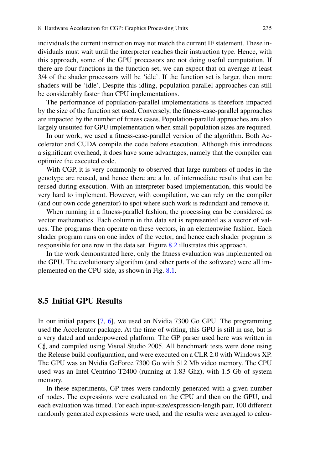individuals the current instruction may not match the current IF statement. These individuals must wait until the interpreter reaches their instruction type. Hence, with this approach, some of the GPU processors are not doing useful computation. If there are four functions in the function set, we can expect that on average at least 3/4 of the shader processors will be 'idle'. If the function set is larger, then more shaders will be 'idle'. Despite this idling, population-parallel approaches can still be considerably faster than CPU implementations.

The performance of population-parallel implementations is therefore impacted by the size of the function set used. Conversely, the fitness-case-parallel approaches are impacted by the number of fitness cases. Population-parallel approaches are also largely unsuited for GPU implementation when small population sizes are required.

In our work, we used a fitness-case-parallel version of the algorithm. Both Accelerator and CUDA compile the code before execution. Although this introduces a significant overhead, it does have some advantages, namely that the compiler can optimize the executed code.

With CGP, it is very commonly to observed that large numbers of nodes in the genotype are reused, and hence there are a lot of intermediate results that can be reused during execution. With an interpreter-based implementation, this would be very hard to implement. However, with compilation, we can rely on the compiler (and our own code generator) to spot where such work is redundant and remove it.

When running in a fitness-parallel fashion, the processing can be considered as vector mathematics. Each column in the data set is represented as a vector of values. The programs then operate on these vectors, in an elementwise fashion. Each shader program runs on one index of the vector, and hence each shader program is responsible for one row in the data set. Figure [8.2](#page-5-0) illustrates this approach.

In the work demonstrated here, only the fitness evaluation was implemented on the GPU. The evolutionary algorithm (and other parts of the software) were all implemented on the CPU side, as shown in Fig. [8.1.](#page-1-0)

#### **8.5 Initial GPU Results**

In our initial papers [\[7,](#page-22-5) [6\]](#page-22-6), we used an Nvidia 7300 Go GPU. The programming used the Accelerator package. At the time of writing, this GPU is still in use, but is a very dated and underpowered platform. The GP parser used here was written in C#, and compiled using Visual Studio 2005. All benchmark tests were done using the Release build configuration, and were executed on a CLR 2.0 with Windows XP. The GPU was an Nvidia GeForce 7300 Go with 512 Mb video memory. The CPU used was an Intel Centrino T2400 (running at 1.83 Ghz), with 1.5 Gb of system memory.

In these experiments, GP trees were randomly generated with a given number of nodes. The expressions were evaluated on the CPU and then on the GPU, and each evaluation was timed. For each input-size/expression-length pair, 100 different randomly generated expressions were used, and the results were averaged to calcu-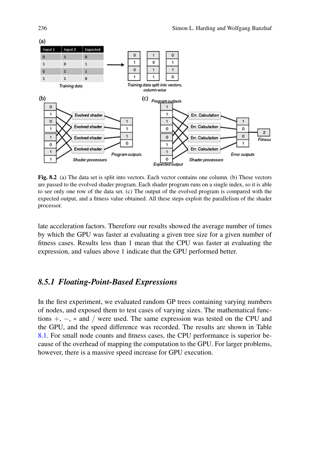

<span id="page-5-0"></span>**Fig. 8.2** (a) The data set is split into vectors. Each vector contains one column. (b) These vectors are passed to the evolved shader program. Each shader program runs on a single index, so it is able to see only one row of the data set. (c) The output of the evolved program is compared with the expected output, and a fitness value obtained. All these steps exploit the parallelism of the shader processor.

late acceleration factors. Therefore our results showed the average number of times by which the GPU was faster at evaluating a given tree size for a given number of fitness cases. Results less than 1 mean that the CPU was faster at evaluating the expression, and values above 1 indicate that the GPU performed better.

## *8.5.1 Floating-Point-Based Expressions*

In the first experiment, we evaluated random GP trees containing varying numbers of nodes, and exposed them to test cases of varying sizes. The mathematical functions +, −, ∗ and / were used. The same expression was tested on the CPU and the GPU, and the speed difference was recorded. The results are shown in Table [8.1.](#page-6-0) For small node counts and fitness cases, the CPU performance is superior because of the overhead of mapping the computation to the GPU. For larger problems, however, there is a massive speed increase for GPU execution.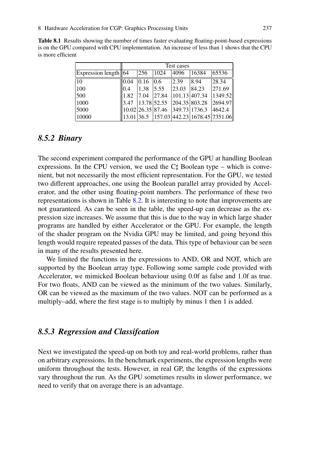**Table 8.1** Results showing the number of times faster evaluating floating-point-based expressions is on the GPU compared with CPU implementation. An increase of less than 1 shows that the CPU is more efficient

<span id="page-6-0"></span>

|                      | Test cases |      |                   |               |       |                               |
|----------------------|------------|------|-------------------|---------------|-------|-------------------------------|
| Expression length 64 |            | 256  | 1024              | 4096          | 16384 | 65536                         |
| 10                   | 0.04       | 0.16 | 0.6               | 2.39          | 8.94  | 28.34                         |
| 100                  | 0.4        | 1.38 | 5.55              | 23.03         | 84.23 | 271.69                        |
| 500                  | 1.82       | 7.04 | 27.84             | 101.13 407.34 |       | 1349.52                       |
| 1000                 | 3.47       |      | 13.78 52.55       | 204.35 803.28 |       | 2694.97                       |
| 5000                 |            |      | 10.02 26.35 87.46 | 349.73 1736.3 |       | 4642.4                        |
| 10000                | 13.01 36.5 |      |                   |               |       | 157.03 442.23 1678.45 7351.06 |

#### *8.5.2 Binary*

The second experiment compared the performance of the GPU at handling Boolean expressions. In the CPU version, we used the  $C\sharp$  Boolean type – which is convenient, but not necessarily the most efficient representation. For the GPU, we tested two different approaches, one using the Boolean parallel array provided by Accelerator, and the other using floating-point numbers. The performance of these two representations is shown in Table [8.2.](#page-7-0) It is interesting to note that improvements are not guaranteed. As can be seen in the table, the speed-up can decrease as the expression size increases. We assume that this is due to the way in which large shader programs are handled by either Accelerator or the GPU. For example, the length of the shader program on the Nvidia GPU may be limited, and going beyond this length would require repeated passes of the data. This type of behaviour can be seen in many of the results presented here.

We limited the functions in the expressions to AND, OR and NOT, which are supported by the Boolean array type. Following some sample code provided with Accelerator, we mimicked Boolean behaviour using 0.0f as false and 1.0f as true. For two floats, AND can be viewed as the minimum of the two values. Similarly, OR can be viewed as the maximum of the two values. NOT can be performed as a multiply–add, where the first stage is to multiply by minus 1 then 1 is added.

#### *8.5.3 Regression and Classifcation*

Next we investigated the speed-up on both toy and real-world problems, rather than on arbitrary expressions. In the benchmark experiments, the expression lengths were uniform throughout the tests. However, in real GP, the lengths of the expressions vary throughout the run. As the GPU sometimes results in slower performance, we need to verify that on average there is an advantage.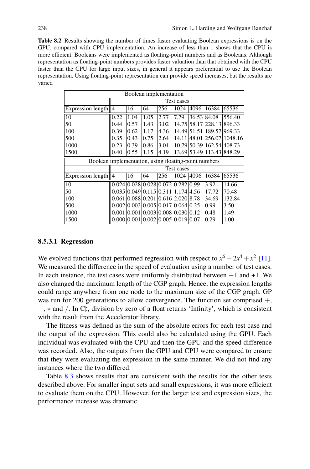<span id="page-7-0"></span>**Table 8.2** Results showing the number of times faster evaluating Boolean expressions is on the GPU, compared with CPU implementation. An increase of less than 1 shows that the CPU is more efficient. Booleans were implemented as floating-point numbers and as Booleans. Although representation as floating-point numbers provides faster valuation than that obtained with the CPU faster than the CPU for large input sizes, in general it appears preferential to use the Boolean representation. Using floating-point representation can provide speed increases, but the results are varied

| Boolean implementation                               |                |              |      |                                    |            |       |                           |                |
|------------------------------------------------------|----------------|--------------|------|------------------------------------|------------|-------|---------------------------|----------------|
|                                                      |                | Test cases   |      |                                    |            |       |                           |                |
| Expression length                                    | $\overline{4}$ | 16           | 64   | 256                                | 1024       | 4096  | 16384                     | 65536          |
| 10                                                   | 0.22           | 1.04         | 1.05 | 2.77                               | 7.79       |       | 36.53 84.08               | 556.40         |
| 50                                                   | 0.44           | 0.57         | 1.43 | 3.02                               |            |       | 14.75 58.17 228.13 896.33 |                |
| 100                                                  | 0.39           | 0.62         | 1.17 | 4.36                               |            |       | 14.49 51.51 189.57 969.33 |                |
| 500                                                  | 0.35           | 0.43         | 0.75 | 2.64                               | 14.11      | 48.01 |                           | 256.07 1048.16 |
| 1000                                                 | 0.23           | 0.39         | 0.86 | 3.01                               |            |       | 10.79 50.39 162.54 408.73 |                |
| 1500                                                 | 0.40           | 0.55         | 1.15 | 4.19                               |            |       | 13.69 53.49 113.43 848.29 |                |
| Boolean implementation, using floating-point numbers |                |              |      |                                    |            |       |                           |                |
|                                                      |                |              |      |                                    | Test cases |       |                           |                |
| Expression length 4                                  |                | 16           | 64   | 256                                | 1024       | 4096  | 16384                     | 65536          |
| 10                                                   |                |              |      | 0.02410.02810.02810.07210.28210.99 |            |       | 3.92                      | 14.66          |
| 50                                                   |                | 0.035 0.049  |      | 0.11510.311                        | 1.174 4.56 |       | 17.72                     | 70.48          |
| 100                                                  |                | 0.061 0.088  |      | 0.201 0.616 2.020 8.78             |            |       | 34.69                     | 132.84         |
| 500                                                  |                |              |      | 0.002 0.003 0.005 0.017 0.064 0.25 |            |       | 0.99                      | 3.50           |
| 1000                                                 |                | 0.00110.0011 |      | $0.003$ 0.008 0.030 0.12           |            |       | 0.48                      | 1.49           |
| 1500                                                 |                |              |      | 0.000 0.001 0.002 0.005 0.019 0.07 |            |       | 0.29                      | 1.00           |

#### **8.5.3.1 Regression**

We evolved functions that performed regression with respect to  $x^6 - 2x^4 + x^2$  [\[11\]](#page-22-12). We measured the difference in the speed of evaluation using a number of test cases. In each instance, the test cases were uniformly distributed between −1 and +1. We also changed the maximum length of the CGP graph. Hence, the expression lengths could range anywhere from one node to the maximum size of the CGP graph. GP was run for 200 generations to allow convergence. The function set comprised  $+$ , −, \* and /. In C‡, division by zero of a float returns 'Infinity', which is consistent with the result from the Accelerator library.

The fitness was defined as the sum of the absolute errors for each test case and the output of the expression. This could also be calculated using the GPU. Each individual was evaluated with the CPU and then the GPU and the speed difference was recorded. Also, the outputs from the GPU and CPU were compared to ensure that they were evaluating the expression in the same manner. We did not find any instances where the two differed.

Table [8.3](#page-8-0) shows results that are consistent with the results for the other tests described above. For smaller input sets and small expressions, it was more efficient to evaluate them on the CPU. However, for the larger test and expression sizes, the performance increase was dramatic.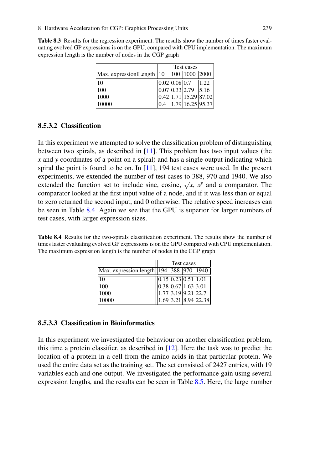<span id="page-8-0"></span>**Table 8.3** Results for the regression experiment. The results show the number of times faster evaluating evolved GP expressions is on the GPU, compared with CPU implementation. The maximum expression length is the number of nodes in the CGP graph

|                                               | Test cases            |  |                         |      |  |
|-----------------------------------------------|-----------------------|--|-------------------------|------|--|
| Max. expressionlLength 10   100   1000   2000 |                       |  |                         |      |  |
| 10                                            | $0.02 \, 0.08 \, 0.7$ |  |                         | 1.22 |  |
| 100                                           |                       |  | 0.07 0.33 2.79 5.16     |      |  |
| 1000                                          |                       |  | $0.42$ 1.71 15.29 87.02 |      |  |
| 10000                                         | 0.4                   |  | 1.79 16.25 95.37        |      |  |

#### **8.5.3.2 Classification**

In this experiment we attempted to solve the classification problem of distinguishing between two spirals, as described in [\[11\]](#page-22-12). This problem has two input values (the *x* and *y* coordinates of a point on a spiral) and has a single output indicating which spiral the point is found to be on. In  $[11]$ , 194 test cases were used. In the present experiments, we extended the number of test cases to 388, 970 and 1940. We also extended the function set to include sine, cosine,  $\sqrt{x}$ ,  $x^y$  and a comparator. The comparator looked at the first input value of a node, and if it was less than or equal to zero returned the second input, and 0 otherwise. The relative speed increases can be seen in Table [8.4.](#page-8-1) Again we see that the GPU is superior for larger numbers of test cases, with larger expression sizes.

<span id="page-8-1"></span>**Table 8.4** Results for the two-spirals classification experiment. The results show the number of times faster evaluating evolved GP expressions is on the GPU compared with CPU implementation. The maximum expression length is the number of nodes in the CGP graph

|                                         | Test cases                       |  |  |                      |  |
|-----------------------------------------|----------------------------------|--|--|----------------------|--|
| Max. expression length 194 388 970 1940 |                                  |  |  |                      |  |
| 10                                      | $[0.15 \, 0.23 \, 0.51 \, 1.01]$ |  |  |                      |  |
| 100                                     | 0.38 0.67 1.63 3.01              |  |  |                      |  |
| 1000                                    | 1.77 3.19 9.21 22.7              |  |  |                      |  |
| 10000                                   |                                  |  |  | 1.69 3.21 8.94 22.38 |  |

#### **8.5.3.3 Classification in Bioinformatics**

In this experiment we investigated the behaviour on another classification problem, this time a protein classifier, as described in [\[12\]](#page-22-13). Here the task was to predict the location of a protein in a cell from the amino acids in that particular protein. We used the entire data set as the training set. The set consisted of 2427 entries, with 19 variables each and one output. We investigated the performance gain using several expression lengths, and the results can be seen in Table [8.5.](#page-9-0) Here, the large number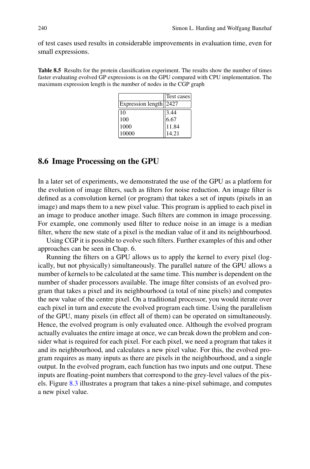of test cases used results in considerable improvements in evaluation time, even for small expressions.

<span id="page-9-0"></span>**Table 8.5** Results for the protein classification experiment. The results show the number of times faster evaluating evolved GP expressions is on the GPU compared with CPU implementation. The maximum expression length is the number of nodes in the CGP graph

|                          | Test cases |
|--------------------------|------------|
| Expression length   2427 |            |
| 10                       | 3.44       |
| 100                      | 6.67       |
| 1000                     | 11.84      |
| 10000                    | 14.21      |

## **8.6 Image Processing on the GPU**

In a later set of experiments, we demonstrated the use of the GPU as a platform for the evolution of image filters, such as filters for noise reduction. An image filter is defined as a convolution kernel (or program) that takes a set of inputs (pixels in an image) and maps them to a new pixel value. This program is applied to each pixel in an image to produce another image. Such filters are common in image processing. For example, one commonly used filter to reduce noise in an image is a median filter, where the new state of a pixel is the median value of it and its neighbourhood.

Using CGP it is possible to evolve such filters. Further examples of this and other approaches can be seen in Chap. 6.

Running the filters on a GPU allows us to apply the kernel to every pixel (logically, but not physically) simultaneously. The parallel nature of the GPU allows a number of kernels to be calculated at the same time. This number is dependent on the number of shader processors available. The image filter consists of an evolved program that takes a pixel and its neighbourhood (a total of nine pixels) and computes the new value of the centre pixel. On a traditional processor, you would iterate over each pixel in turn and execute the evolved program each time. Using the parallelism of the GPU, many pixels (in effect all of them) can be operated on simultaneously. Hence, the evolved program is only evaluated once. Although the evolved program actually evaluates the entire image at once, we can break down the problem and consider what is required for each pixel. For each pixel, we need a program that takes it and its neighbourhood, and calculates a new pixel value. For this, the evolved program requires as many inputs as there are pixels in the neighbourhood, and a single output. In the evolved program, each function has two inputs and one output. These inputs are floating-point numbers that correspond to the grey-level values of the pixels. Figure [8.3](#page-10-0) illustrates a program that takes a nine-pixel subimage, and computes a new pixel value.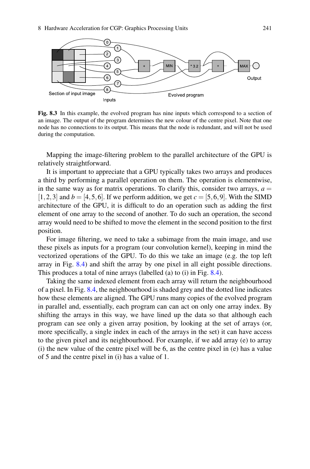

<span id="page-10-0"></span>**Fig. 8.3** In this example, the evolved program has nine inputs which correspond to a section of an image. The output of the program determines the new colour of the centre pixel. Note that one node has no connections to its output. This means that the node is redundant, and will not be used during the computation.

Mapping the image-filtering problem to the parallel architecture of the GPU is relatively straightforward.

It is important to appreciate that a GPU typically takes two arrays and produces a third by performing a parallel operation on them. The operation is elementwise, in the same way as for matrix operations. To clarify this, consider two arrays,  $a =$  $[1,2,3]$  and  $b = [4,5,6]$ . If we perform addition, we get  $c = [5,6,9]$ . With the SIMD architecture of the GPU, it is difficult to do an operation such as adding the first element of one array to the second of another. To do such an operation, the second array would need to be shifted to move the element in the second position to the first position.

For image filtering, we need to take a subimage from the main image, and use these pixels as inputs for a program (our convolution kernel), keeping in mind the vectorized operations of the GPU. To do this we take an image (e.g. the top left array in Fig. [8.4\)](#page-11-0) and shift the array by one pixel in all eight possible directions. This produces a total of nine arrays (labelled (a) to (i) in Fig. [8.4\)](#page-11-0).

Taking the same indexed element from each array will return the neighbourhood of a pixel. In Fig. [8.4,](#page-11-0) the neighbourhood is shaded grey and the dotted line indicates how these elements are aligned. The GPU runs many copies of the evolved program in parallel and, essentially, each program can can act on only one array index. By shifting the arrays in this way, we have lined up the data so that although each program can see only a given array position, by looking at the set of arrays (or, more specifically, a single index in each of the arrays in the set) it can have access to the given pixel and its neighbourhood. For example, if we add array (e) to array (i) the new value of the centre pixel will be 6, as the centre pixel in (e) has a value of 5 and the centre pixel in (i) has a value of 1.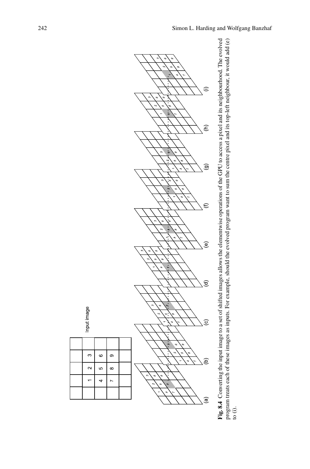

<span id="page-11-0"></span>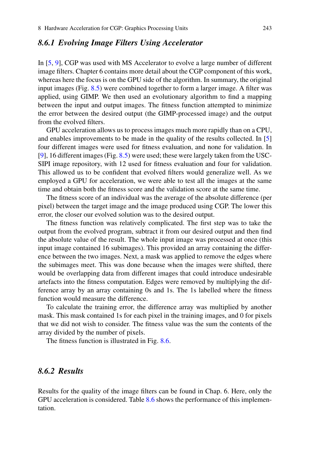#### *8.6.1 Evolving Image Filters Using Accelerator*

In [\[5,](#page-22-7) [9\]](#page-22-14), CGP was used with MS Accelerator to evolve a large number of different image filters. Chapter 6 contains more detail about the CGP component of this work, whereas here the focus is on the GPU side of the algorithm. In summary, the original input images (Fig. [8.5\)](#page-13-0) were combined together to form a larger image. A filter was applied, using GIMP. We then used an evolutionary algorithm to find a mapping between the input and output images. The fitness function attempted to minimize the error between the desired output (the GIMP-processed image) and the output from the evolved filters.

GPU acceleration allows us to process images much more rapidly than on a CPU, and enables improvements to be made in the quality of the results collected. In [\[5\]](#page-22-7) four different images were used for fitness evaluation, and none for validation. In [\[9\]](#page-22-14), 16 different images (Fig. [8.5\)](#page-13-0) were used; these were largely taken from the USC-SIPI image repository, with 12 used for fitness evaluation and four for validation. This allowed us to be confident that evolved filters would generalize well. As we employed a GPU for acceleration, we were able to test all the images at the same time and obtain both the fitness score and the validation score at the same time.

The fitness score of an individual was the average of the absolute difference (per pixel) between the target image and the image produced using CGP. The lower this error, the closer our evolved solution was to the desired output.

The fitness function was relatively complicated. The first step was to take the output from the evolved program, subtract it from our desired output and then find the absolute value of the result. The whole input image was processed at once (this input image contained 16 subimages). This provided an array containing the difference between the two images. Next, a mask was applied to remove the edges where the subimages meet. This was done because when the images were shifted, there would be overlapping data from different images that could introduce undesirable artefacts into the fitness computation. Edges were removed by multiplying the difference array by an array containing 0s and 1s. The 1s labelled where the fitness function would measure the difference.

To calculate the training error, the difference array was multiplied by another mask. This mask contained 1s for each pixel in the training images, and 0 for pixels that we did not wish to consider. The fitness value was the sum the contents of the array divided by the number of pixels.

The fitness function is illustrated in Fig. [8.6.](#page-14-0)

## *8.6.2 Results*

Results for the quality of the image filters can be found in Chap. 6. Here, only the GPU acceleration is considered. Table [8.6](#page-14-1) shows the performance of this implementation.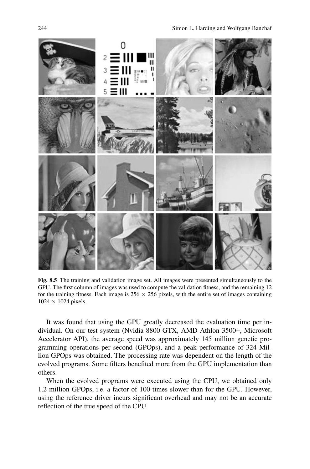

**Fig. 8.5** The training and validation image set. All images were presented simultaneously to the GPU. The first column of images was used to compute the validation fitness, and the remaining 12 for the training fitness. Each image is  $256 \times 256$  pixels, with the entire set of images containing  $1024 \times 1024$  pixels.

<span id="page-13-0"></span>It was found that using the GPU greatly decreased the evaluation time per individual. On our test system (Nvidia 8800 GTX, AMD Athlon 3500+, Microsoft Accelerator API), the average speed was approximately 145 million genetic programming operations per second (GPOps), and a peak performance of 324 Million GPOps was obtained. The processing rate was dependent on the length of the evolved programs. Some filters benefited more from the GPU implementation than others.

When the evolved programs were executed using the CPU, we obtained only 1.2 million GPOps, i.e. a factor of 100 times slower than for the GPU. However, using the reference driver incurs significant overhead and may not be an accurate reflection of the true speed of the CPU.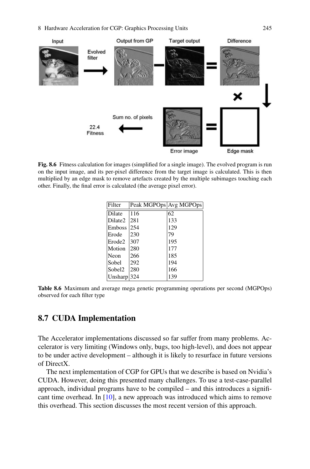8 Hardware Acceleration for CGP: Graphics Processing Units 245



<span id="page-14-0"></span>**Fig. 8.6** Fitness calculation for images (simplified for a single image). The evolved program is run on the input image, and its per-pixel difference from the target image is calculated. This is then multiplied by an edge mask to remove artefacts created by the multiple subimages touching each other. Finally, the final error is calculated (the average pixel error).

| Filter             | Peak MGPOps Avg MGPOps |     |
|--------------------|------------------------|-----|
| Dilate             | 116                    | 62  |
| Dilate2            | 281                    | 133 |
| Emboss             | 254                    | 129 |
| Erode              | 230                    | 79  |
| Erode <sub>2</sub> | 307                    | 195 |
| Motion             | 280                    | 177 |
| Neon               | 266                    | 185 |
| Sobel              | 292                    | 194 |
| Sobel2             | 280                    | 166 |
| Unsharp            | 324                    | 139 |

<span id="page-14-1"></span>**Table 8.6** Maximum and average mega genetic programming operations per second (MGPOps) observed for each filter type

## **8.7 CUDA Implementation**

The Accelerator implementations discussed so far suffer from many problems. Accelerator is very limiting (Windows only, bugs, too high-level), and does not appear to be under active development – although it is likely to resurface in future versions of DirectX.

The next implementation of CGP for GPUs that we describe is based on Nvidia's CUDA. However, doing this presented many challenges. To use a test-case-parallel approach, individual programs have to be compiled – and this introduces a significant time overhead. In  $[10]$ , a new approach was introduced which aims to remove this overhead. This section discusses the most recent version of this approach.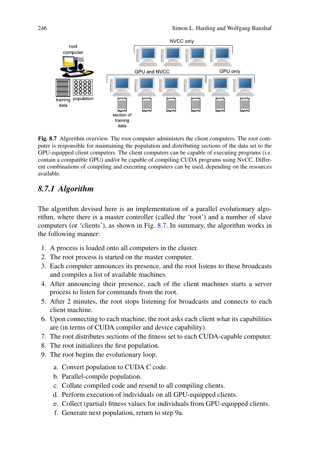

<span id="page-15-0"></span>**Fig. 8.7** Algorithm overview. The root computer administers the client computers. The root computer is responsible for maintaining the population and distributing sections of the data set to the GPU-equipped client computers. The client computers can be capable of executing programs (i.e. contain a compatible GPU) and/or be capable of compiling CUDA programs using NvCC. Different combinations of compiling and executing computers can be used, depending on the resources available.

# *8.7.1 Algorithm*

The algorithm devised here is an implementation of a parallel evolutionary algorithm, where there is a master controller (called the 'root') and a number of slave computers (or 'clients'), as shown in Fig. [8.7.](#page-15-0) In summary, the algorithm works in the following manner:

- 1. A process is loaded onto all computers in the cluster.
- 2. The root process is started on the master computer.
- 3. Each computer announces its presence, and the root listens to these broadcasts and compiles a list of available machines.
- 4. After announcing their presence, each of the client machines starts a server process to listen for commands from the root.
- 5. After 2 minutes, the root stops listening for broadcasts and connects to each client machine.
- 6. Upon connecting to each machine, the root asks each client what its capabilities are (in terms of CUDA compiler and device capability).
- 7. The root distributes sections of the fitness set to each CUDA-capable computer.
- 8. The root initializes the first population.
- 9. The root begins the evolutionary loop.
	- a. Convert population to CUDA C code.
	- b. Parallel-compile population.
	- c. Collate compiled code and resend to all compiling clients.
	- d. Perform execution of individuals on all GPU-equipped clients.
	- e. Collect (partial) fitness values for individuals from GPU-equipped clients.
	- f. Generate next population, return to step 9a.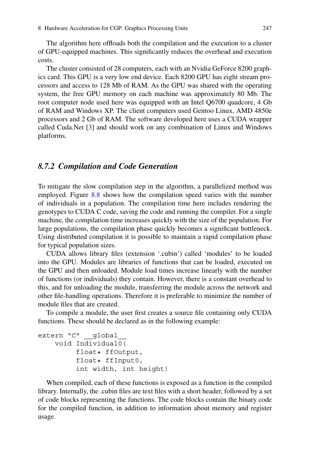The algorithm here offloads both the compilation and the execution to a cluster of GPU-equipped machines. This significantly reduces the overhead and execution costs.

The cluster consisted of 28 computers, each with an Nvidia GeForce 8200 graphics card. This GPU is a very low end device. Each 8200 GPU has eight stream processors and access to 128 Mb of RAM. As the GPU was shared with the operating system, the free GPU memory on each machine was approximately 80 Mb. The root computer node used here was equipped with an Intel Q6700 quadcore, 4 Gb of RAM and Windows XP. The client computers used Gentoo Linux, AMD 4850e processors and 2 Gb of RAM. The software developed here uses a CUDA wrapper called Cuda.Net [\[3\]](#page-22-3) and should work on any combination of Linux and Windows platforms.

## *8.7.2 Compilation and Code Generation*

To mitigate the slow compilation step in the algorithm, a parallelized method was employed. Figure [8.8](#page-17-0) shows how the compilation speed varies with the number of individuals in a population. The compilation time here includes rendering the genotypes to CUDA C code, saving the code and running the compiler. For a single machine, the compilation time increases quickly with the size of the population. For large populations, the compilation phase quickly becomes a significant bottleneck. Using distributed compilation it is possible to maintain a rapid compilation phase for typical population sizes.

CUDA allows library files (extension '.cubin') called 'modules' to be loaded into the GPU. Modules are libraries of functions that can be loaded, executed on the GPU and then unloaded. Module load times increase linearly with the number of functions (or individuals) they contain. However, there is a constant overhead to this, and for unloading the module, transferring the module across the network and other file-handling operations. Therefore it is preferable to minimize the number of module files that are created.

To compile a module, the user first creates a source file containing only CUDA functions. These should be declared as in the following example:

```
extern "C" qlobal
    void Individual0(
         float* ffOutput,
         float* ffInput0,
         int width, int height)
```
When compiled, each of these functions is exposed as a function in the compiled library. Internally, the .cubin files are text files with a short header, followed by a set of code blocks representing the functions. The code blocks contain the binary code for the compiled function, in addition to information about memory and register usage.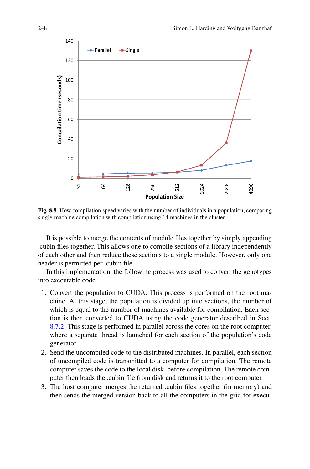

<span id="page-17-0"></span>**Fig. 8.8** How compilation speed varies with the number of individuals in a population, comparing single-machine compilation with compilation using 14 machines in the cluster.

It is possible to merge the contents of module files together by simply appending .cubin files together. This allows one to compile sections of a library independently of each other and then reduce these sections to a single module. However, only one header is permitted per .cubin file.

In this implementation, the following process was used to convert the genotypes into executable code.

- 1. Convert the population to CUDA. This process is performed on the root machine. At this stage, the population is divided up into sections, the number of which is equal to the number of machines available for compilation. Each section is then converted to CUDA using the code generator described in Sect. [8.7.2.](#page-18-0) This stage is performed in parallel across the cores on the root computer, where a separate thread is launched for each section of the population's code generator.
- 2. Send the uncompiled code to the distributed machines. In parallel, each section of uncompiled code is transmitted to a computer for compilation. The remote computer saves the code to the local disk, before compilation. The remote computer then loads the .cubin file from disk and returns it to the root computer.
- 3. The host computer merges the returned .cubin files together (in memory) and then sends the merged version back to all the computers in the grid for execu-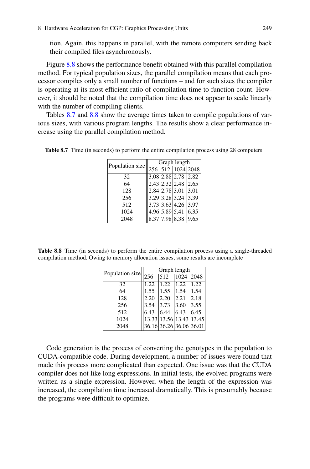tion. Again, this happens in parallel, with the remote computers sending back their compiled files asynchronously.

Figure [8.8](#page-17-0) shows the performance benefit obtained with this parallel compilation method. For typical population sizes, the parallel compilation means that each processor compiles only a small number of functions – and for such sizes the compiler is operating at its most efficient ratio of compilation time to function count. However, it should be noted that the compilation time does not appear to scale linearly with the number of compiling clients.

Tables [8.7](#page-18-1) and [8.8](#page-18-0) show the average times taken to compile populations of various sizes, with various program lengths. The results show a clear performance increase using the parallel compilation method.

| Population size $  256  512  1024  2048$ | Graph length |                |                     |      |  |  |
|------------------------------------------|--------------|----------------|---------------------|------|--|--|
|                                          |              |                |                     |      |  |  |
| 32                                       |              |                | 3.08 2.88 2.78 2.82 |      |  |  |
| 64                                       |              |                | 2.43 2.32 2.48 2.65 |      |  |  |
| 128                                      |              |                | 2.84 2.78 3.01 3.01 |      |  |  |
| 256                                      |              |                | 3.29 3.28 3.24 3.39 |      |  |  |
| 512                                      |              |                | 3.73 3.63 4.26 3.97 |      |  |  |
| 1024                                     |              | 4.96 5.89 5.41 |                     | 6.35 |  |  |
| 2048                                     |              |                | 8.37 7.98 8.38      | 9.65 |  |  |

<span id="page-18-1"></span>**Table 8.7** Time (in seconds) to perform the entire compilation process using 28 computers

<span id="page-18-0"></span>**Table 8.8** Time (in seconds) to perform the entire compilation process using a single-threaded compilation method. Owing to memory allocation issues, some results are incomplete

| Population size $\ $ 256 | Graph length            |                         |           |      |  |  |
|--------------------------|-------------------------|-------------------------|-----------|------|--|--|
|                          |                         | 512                     | 1024 2048 |      |  |  |
| 32                       | 1.22                    | 1.22                    | 1.22      | 1.22 |  |  |
| 64                       | 1.55                    | 1.55                    | 1.54      | 1.54 |  |  |
| 128                      | 2.20                    | 2.20                    | 2.21      | 2.18 |  |  |
| 256                      | 3.54                    | 3.73                    | 3.60      | 3.55 |  |  |
| 512                      | 6.43                    | 6.44                    | 6.43      | 6.45 |  |  |
| 1024                     |                         | 13.33 13.56 13.43 13.45 |           |      |  |  |
| 2048                     | 36.16 36.26 36.06 36.01 |                         |           |      |  |  |

Code generation is the process of converting the genotypes in the population to CUDA-compatible code. During development, a number of issues were found that made this process more complicated than expected. One issue was that the CUDA compiler does not like long expressions. In initial tests, the evolved programs were written as a single expression. However, when the length of the expression was increased, the compilation time increased dramatically. This is presumably because the programs were difficult to optimize.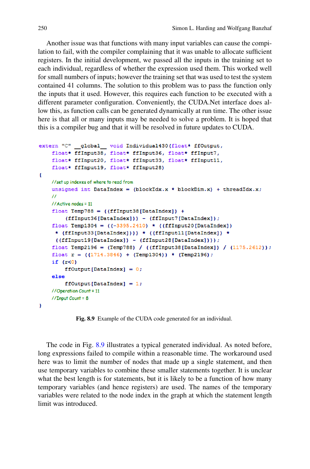Another issue was that functions with many input variables can cause the compilation to fail, with the compiler complaining that it was unable to allocate sufficient registers. In the initial development, we passed all the inputs in the training set to each individual, regardless of whether the expression used them. This worked well for small numbers of inputs; however the training set that was used to test the system contained 41 columns. The solution to this problem was to pass the function only the inputs that it used. However, this requires each function to be executed with a different parameter configuration. Conveniently, the CUDA.Net interface does allow this, as function calls can be generated dynamically at run time. The other issue here is that all or many inputs may be needed to solve a problem. It is hoped that this is a compiler bug and that it will be resolved in future updates to CUDA.

```
extern "C" qlobal void Individual430 (float* ffOutput,
    float* ffInput38, float* ffInput36, float* ffInput7,
    float* ffInput20, float* ffInput33, float* ffInput11,
    float* ffInput19, float* ffInput28)
Ł
    //set up indexes of where to read from
    unsigned int DataIndex = (blockIdx.x * blockDim.x) + threadIdx.x;\overline{H}//Active nodes = 11
    float Temp788 = ((ffInput38[DataIndex]) +(ffInput36[DataIndex])) - (ffInput7[DataIndex]);
    float Temp1304 = ((-3395.2410) * ((ffInput20[DataIndex])* (ffInput33[DataIndex])) * ((ffInput11[DataIndex]) *
     ((ffInput19[DataIndex]) - (ffInput28[DataIndex]))float Temp2196 = (Temp788) / ((ffInput38[DataIndex]) / (1175.2612));
    float r = ((1714.3846) + (Temp1304)) * (Temp2196);
    if (r<0)\texttt{ffOutput}[\texttt{DataIndex}] = 0;else
        \texttt{ffourput}[DataIndex] = 1;//Operation Count = 11
    //Input Count = 8
ł
```
<span id="page-19-0"></span>**Fig. 8.9** Example of the CUDA code generated for an individual.

The code in Fig. [8.9](#page-19-0) illustrates a typical generated individual. As noted before, long expressions failed to compile within a reasonable time. The workaround used here was to limit the number of nodes that made up a single statement, and then use temporary variables to combine these smaller statements together. It is unclear what the best length is for statements, but it is likely to be a function of how many temporary variables (and hence registers) are used. The names of the temporary variables were related to the node index in the graph at which the statement length limit was introduced.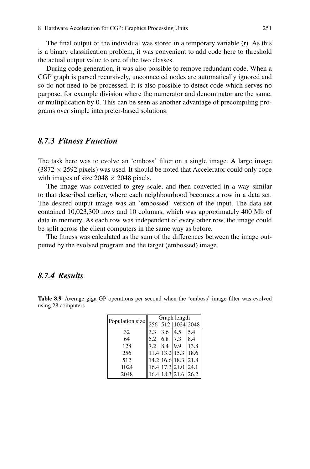The final output of the individual was stored in a temporary variable (r). As this is a binary classification problem, it was convenient to add code here to threshold the actual output value to one of the two classes.

During code generation, it was also possible to remove redundant code. When a CGP graph is parsed recursively, unconnected nodes are automatically ignored and so do not need to be processed. It is also possible to detect code which serves no purpose, for example division where the numerator and denominator are the same, or multiplication by 0. This can be seen as another advantage of precompiling programs over simple interpreter-based solutions.

## *8.7.3 Fitness Function*

The task here was to evolve an 'emboss' filter on a single image. A large image  $(3872 \times 2592)$  pixels) was used. It should be noted that Accelerator could only cope with images of size  $2048 \times 2048$  pixels.

The image was converted to grey scale, and then converted in a way similar to that described earlier, where each neighbourhood becomes a row in a data set. The desired output image was an 'embossed' version of the input. The data set contained 10,023,300 rows and 10 columns, which was approximately 400 Mb of data in memory. As each row was independent of every other row, the image could be split across the client computers in the same way as before.

The fitness was calculated as the sum of the differences between the image outputted by the evolved program and the target (embossed) image.

#### *8.7.4 Results*

|                                        | Graph length |                |                     |      |  |  |
|----------------------------------------|--------------|----------------|---------------------|------|--|--|
| Population size  256  512  1024   2048 |              |                |                     |      |  |  |
| 32                                     | 3.3          | 3.6            | 4.5                 | 5.4  |  |  |
| 64                                     | 5.2          | 6.8            | 7.3                 | 8.4  |  |  |
| 128                                    | 7.2          | 8.4            | 9.9                 | 13.8 |  |  |
| 256                                    |              | 11.4 13.2 15.3 |                     | 18.6 |  |  |
| 512                                    |              |                | 14.2 16.6 18.3 21.8 |      |  |  |
| 1024                                   |              |                | 16.4 17.3 21.0      | 24.1 |  |  |
| 2048                                   |              |                | 16.4 18.3 21.6 26.2 |      |  |  |

<span id="page-20-0"></span>**Table 8.9** Average giga GP operations per second when the 'emboss' image filter was evolved using 28 computers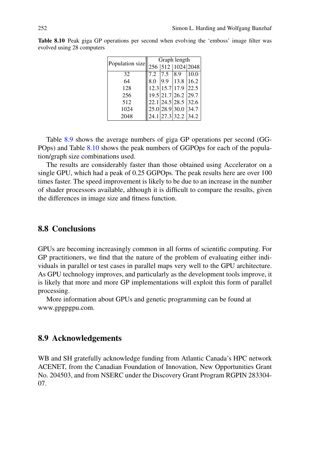| Population size | Graph length |     |                     |      |  |  |
|-----------------|--------------|-----|---------------------|------|--|--|
|                 |              |     | 256 512 1024 2048   |      |  |  |
| 32              | 7.2          | 7.5 | 8.9                 | 10.0 |  |  |
| 64              | 8.0          | 9.9 | 13.8                | 16.2 |  |  |
| 128             |              |     | 12.3 15.7 17.9      | 22.5 |  |  |
| 256             |              |     | 19.5 21.7 26.2 29.7 |      |  |  |
| 512             |              |     | 22.1 24.5 28.5 32.6 |      |  |  |
| 1024            |              |     | 25.0 28.9 30.0      | 34.7 |  |  |
| 2048            |              |     | 24.1 27.3 32.2 34.2 |      |  |  |

<span id="page-21-0"></span>**Table 8.10** Peak giga GP operations per second when evolving the 'emboss' image filter was evolved using 28 computers

Table [8.9](#page-20-0) shows the average numbers of giga GP operations per second (GG-POps) and Table [8.10](#page-21-0) shows the peak numbers of GGPOps for each of the population/graph size combinations used.

The results are considerably faster than those obtained using Accelerator on a single GPU, which had a peak of 0.25 GGPOps. The peak results here are over 100 times faster. The speed improvement is likely to be due to an increase in the number of shader processors available, although it is difficult to compare the results, given the differences in image size and fitness function.

#### **8.8 Conclusions**

GPUs are becoming increasingly common in all forms of scientific computing. For GP practitioners, we find that the nature of the problem of evaluating either individuals in parallel or test cases in parallel maps very well to the GPU architecture. As GPU technology improves, and particularly as the development tools improve, it is likely that more and more GP implementations will exploit this form of parallel processing.

More information about GPUs and genetic programming can be found at [www.gpgpgpu.com.](http://www.gpgpgpu.com)

#### **8.9 Acknowledgements**

WB and SH gratefully acknowledge funding from Atlantic Canada's HPC network ACENET, from the Canadian Foundation of Innovation, New Opportunities Grant No. 204503, and from NSERC under the Discovery Grant Program RGPIN 283304- 07.